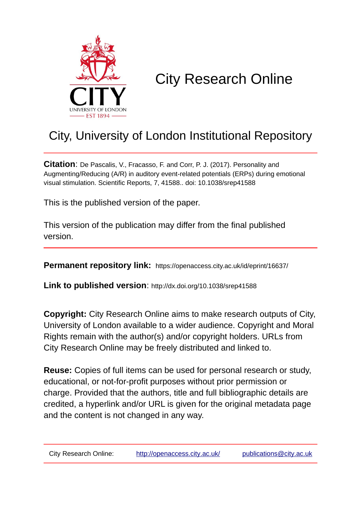

# City Research Online

# City, University of London Institutional Repository

**Citation**: De Pascalis, V., Fracasso, F. and Corr, P. J. (2017). Personality and Augmenting/Reducing (A/R) in auditory event-related potentials (ERPs) during emotional visual stimulation. Scientific Reports, 7, 41588.. doi: 10.1038/srep41588

This is the published version of the paper.

This version of the publication may differ from the final published version.

**Permanent repository link:** https://openaccess.city.ac.uk/id/eprint/16637/

**Link to published version**: http://dx.doi.org/10.1038/srep41588

**Copyright:** City Research Online aims to make research outputs of City, University of London available to a wider audience. Copyright and Moral Rights remain with the author(s) and/or copyright holders. URLs from City Research Online may be freely distributed and linked to.

**Reuse:** Copies of full items can be used for personal research or study, educational, or not-for-profit purposes without prior permission or charge. Provided that the authors, title and full bibliographic details are credited, a hyperlink and/or URL is given for the original metadata page and the content is not changed in any way.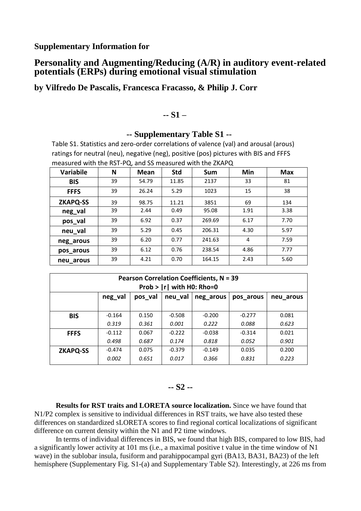## **Personality and Augmenting/Reducing (A/R) in auditory event-related potentials (ERPs) during emotional visual stimulation**

**by Vilfredo De Pascalis, Francesca Fracasso, & Philip J. Corr**

#### **-- S1 –**

#### **-- Supplementary Table S1 --**

Table S1. Statistics and zero-order correlations of valence (val) and arousal (arous) ratings for neutral (neu), negative (neg), positive (pos) pictures with BIS and FFFS measured with the RST-PQ, and SS measured with the ZKAPQ

| <b>Variabile</b> | N  | <b>Mean</b> | <b>Std</b> | Sum    | Min  | Max  |
|------------------|----|-------------|------------|--------|------|------|
| <b>BIS</b>       | 39 | 54.79       | 11.85      | 2137   | 33   | 81   |
| <b>FFFS</b>      | 39 | 26.24       | 5.29       | 1023   | 15   | 38   |
| <b>ZKAPQ-SS</b>  | 39 | 98.75       | 11.21      | 3851   | 69   | 134  |
| neg_val          | 39 | 2.44        | 0.49       | 95.08  | 1.91 | 3.38 |
| pos_val          | 39 | 6.92        | 0.37       | 269.69 | 6.17 | 7.70 |
| neu_val          | 39 | 5.29        | 0.45       | 206.31 | 4.30 | 5.97 |
| neg_arous        | 39 | 6.20        | 0.77       | 241.63 | 4    | 7.59 |
| pos_arous        | 39 | 6.12        | 0.76       | 238.54 | 4.86 | 7.77 |
| neu_arous        | 39 | 4.21        | 0.70       | 164.15 | 2.43 | 5.60 |

| <b>Pearson Correlation Coefficients, N = 39</b><br>Prob > $ r $ with H0: Rho=0 |          |         |          |           |           |           |  |  |
|--------------------------------------------------------------------------------|----------|---------|----------|-----------|-----------|-----------|--|--|
|                                                                                | neg_val  | pos_val | neu val  | neg arous | pos arous | neu arous |  |  |
| <b>BIS</b>                                                                     | $-0.164$ | 0.150   | $-0.508$ | $-0.200$  | $-0.277$  | 0.081     |  |  |
|                                                                                | 0.319    | 0.361   | 0.001    | 0.222     | 0.088     | 0.623     |  |  |
| <b>FFFS</b>                                                                    | $-0.112$ | 0.067   | $-0.222$ | $-0.038$  | $-0.314$  | 0.021     |  |  |
|                                                                                | 0.498    | 0.687   | 0.174    | 0.818     | 0.052     | 0.901     |  |  |
| <b>ZKAPQ-SS</b>                                                                | $-0.474$ | 0.075   | $-0.379$ | $-0.149$  | 0.035     | 0.200     |  |  |
|                                                                                | 0.002    | 0.651   | 0.017    | 0.366     | 0.831     | 0.223     |  |  |

# **-- S2 --**

**Results for RST traits and LORETA source localization.** Since we have found that N1/P2 complex is sensitive to individual differences in RST traits, we have also tested these differences on standardized sLORETA scores to find regional cortical localizations of significant difference on current density within the N1 and P2 time windows.

In terms of individual differences in BIS, we found that high BIS, compared to low BIS, had a significantly lower activity at 101 ms (i.e., a maximal positive t value in the time window of N1 wave) in the sublobar insula, fusiform and parahippocampal gyri (BA13, BA31, BA23) of the left hemisphere (Supplementary Fig. S1-(a) and Supplementary Table S2). Interestingly, at 226 ms from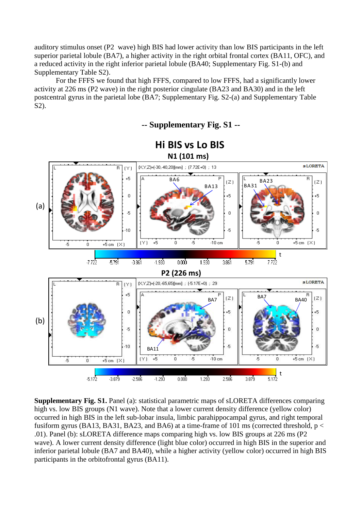auditory stimulus onset (P2 wave) high BIS had lower activity than low BIS participants in the left superior parietal lobule (BA7), a higher activity in the right orbital frontal cortex (BA11, OFC), and a reduced activity in the right inferior parietal lobule (BA40; Supplementary Fig. S1-(b) and Supplementary Table S2).

For the FFFS we found that high FFFS, compared to low FFFS, had a significantly lower activity at 226 ms (P2 wave) in the right posterior cingulate (BA23 and BA30) and in the left postcentral gyrus in the parietal lobe (BA7; Supplementary Fig. S2-(a) and Supplementary Table S2).

BIS vs Lo BIS<br>
N1 (101 ms)<br>
200 [mm] :  $(7.72E+0)$  : 13<br>
BA6<br>
BA13<br>  $\begin{bmatrix} 2 \end{bmatrix}$   $\begin{bmatrix} 1 & 3 & 4 & 23 \\ 8 & 4 & 3 & 4 \end{bmatrix}$ **N1 (101 ms) sLORETA**  $\overline{R}$  $(Y)$  $+5$ Ŕ  $BA13$   $\begin{bmatrix} 2 \\ 1 \\ 1 \end{bmatrix}$   $AB31$  $(Z)$  $\boldsymbol{0}$  $+5$ (a) -5  $\overline{0}$  $\overline{0}$  $-10$ -5  $-5$  $\mathbb{Z}$  $(Y)$  $-10 \text{ cm}$  $\pm 5$  $\overline{0}$ -5  $+5$  cm  $(X)$ 0 +5 cm  $(X)$ -5  $\Omega$ t  $-3.861$  $-1.930$  $0.000$ 1.930  $3.861$ 5.791 7.722  $-7.722$  $-5.791$ **P2 (226 ms) sLORETA** (X,Y,Z)=(-20,-65,65)[mm]; (-5.17E+0); 29  $\overline{B}$  $(Y)$  $+5$  $BA7$   $\begin{bmatrix} 2 \end{bmatrix}$   $\begin{bmatrix} 2 \end{bmatrix}$   $\begin{bmatrix} 6 \end{bmatrix}$   $BA7$   $BA40$  $(Z)$  $\overline{0}$  $+5$  $+5$ (b)-5  $\overline{0}$  $\overline{0}$  $-10$ -5 -5 BA11  $+5$  $\overline{5}$  $-5$  $(Y)$ 0  $-10$  cm  $\,0$  $+5$  cm  $(X)$  $-5$  $\,0$ +5 cm  $(X)$ t  $-5.172$  $-2.586$  $-1.293$  $0.000$ 1.293 2.586 3.879  $5.172$  $-3.879$ 

**Supplementary Fig. S1.** Panel (a): statistical parametric maps of sLORETA differences comparing high vs. low BIS groups (N1 wave). Note that a lower current density difference (yellow color) occurred in high BIS in the left sub-lobar insula, limbic parahippocampal gyrus, and right temporal fusiform gyrus (BA13, BA31, BA23, and BA6) at a time-frame of 101 ms (corrected threshold,  $p <$ .01). Panel (b): sLORETA difference maps comparing high vs. low BIS groups at 226 ms (P2 wave). A lower current density difference (light blue color) occurred in high BIS in the superior and inferior parietal lobule (BA7 and BA40), while a higher activity (yellow color) occurred in high BIS participants in the orbitofrontal gyrus (BA11).

# **Hi BIS vs Lo BIS**

**-- Supplementary Fig. S1 --**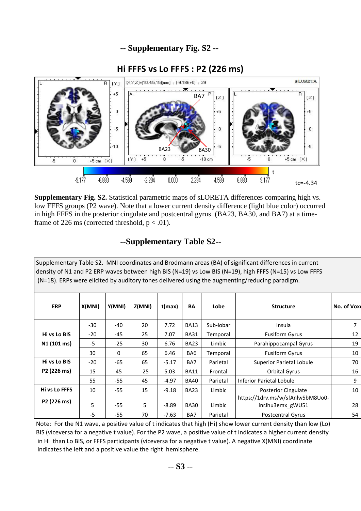# **-- Supplementary Fig. S2 --**





**Supplementary Fig. S2.** Statistical parametric maps of sLORETA differences comparing high vs. low FFFS groups (P2 wave). Note that a lower current density difference (light blue color) occurred in high FFFS in the posterior cingulate and postcentral gyrus (BA23, BA30, and BA7) at a timeframe of 226 ms (corrected threshold,  $p < .01$ ).

#### **--Supplementary Table S2--**

| Supplementary Table S2. MNI coordinates and Brodmann areas (BA) of significant differences in current<br>density of N1 and P2 ERP waves between high BIS (N=19) vs Low BIS (N=19), high FFFS (N=15) vs Low FFFS<br>(N=18). ERPs were elicited by auditory tones delivered using the augmenting/reducing paradigm. |        |        |        |         |             |           |                                                      |                |
|-------------------------------------------------------------------------------------------------------------------------------------------------------------------------------------------------------------------------------------------------------------------------------------------------------------------|--------|--------|--------|---------|-------------|-----------|------------------------------------------------------|----------------|
| <b>ERP</b>                                                                                                                                                                                                                                                                                                        | X(MNI) | Y(MNI) | Z(MNI) | t(max)  | BA          | Lobe      | <b>Structure</b>                                     | No. of Voxe    |
|                                                                                                                                                                                                                                                                                                                   | $-30$  | -40    | 20     | 7.72    | <b>BA13</b> | Sub-lobar | Insula                                               | $\overline{7}$ |
| Hi vs Lo BIS                                                                                                                                                                                                                                                                                                      | $-20$  | -45    | 25     | 7.07    | <b>BA31</b> | Temporal  | <b>Fusiform Gyrus</b>                                | 12             |
| N1 (101 ms)                                                                                                                                                                                                                                                                                                       | $-5$   | $-25$  | 30     | 6.76    | <b>BA23</b> | Limbic    | Parahippocampal Gyrus                                | 19             |
|                                                                                                                                                                                                                                                                                                                   | 30     | 0      | 65     | 6.46    | BA6         | Temporal  | <b>Fusiform Gyrus</b>                                | 10             |
| Hi vs Lo BIS                                                                                                                                                                                                                                                                                                      | $-20$  | $-65$  | 65     | $-5.17$ | BA7         | Parietal  | <b>Superior Parietal Lobule</b>                      | 70             |
| P2 (226 ms)                                                                                                                                                                                                                                                                                                       | 15     | 45     | $-25$  | 5.03    | <b>BA11</b> | Frontal   | Orbital Gyrus                                        | 16             |
|                                                                                                                                                                                                                                                                                                                   | 55     | $-55$  | 45     | $-4.97$ | <b>BA40</b> | Parietal  | <b>Inferior Parietal Lobule</b>                      | 9              |
| Hi vs Lo FFFS                                                                                                                                                                                                                                                                                                     | 10     | $-55$  | 15     | $-9.18$ | <b>BA23</b> | Limbic    | <b>Posterior Cingulate</b>                           | 10             |
| P2 (226 ms)                                                                                                                                                                                                                                                                                                       | 5      | $-55$  | 5      | $-8.89$ | <b>BA30</b> | Limbic    | https://1drv.ms/w/s!Anlw5bM8Uo0-<br>inrJhu3emx_gWU51 | 28             |
|                                                                                                                                                                                                                                                                                                                   | $-5$   | -55    | 70     | $-7.63$ | BA7         | Parietal  | <b>Postcentral Gyrus</b>                             | 54             |

Note: For the N1 wave, a positive value of t indicates that high (Hi) show lower current density than low (Lo) BIS (viceversa for a negative t value). For the P2 wave, a positive value of t indicates a higher current density in Hi than Lo BIS, or FFFS participants (viceversa for a negative t value). A negative X(MNI) coordinate indicates the left and a positive value the right hemisphere.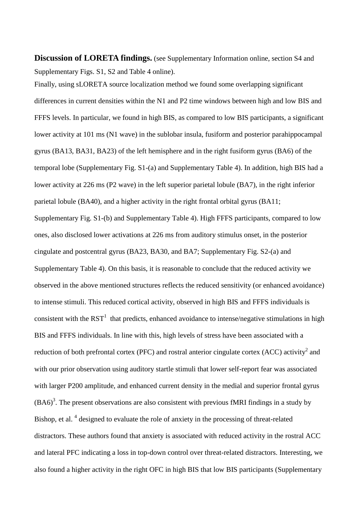**Discussion of LORETA findings.** (see Supplementary Information online, section S4 and Supplementary Figs. S1, S2 and Table 4 online).

Finally, using sLORETA source localization method we found some overlapping significant differences in current densities within the N1 and P2 time windows between high and low BIS and FFFS levels. In particular, we found in high BIS, as compared to low BIS participants, a significant lower activity at 101 ms (N1 wave) in the sublobar insula, fusiform and posterior parahippocampal gyrus (BA13, BA31, BA23) of the left hemisphere and in the right fusiform gyrus (BA6) of the temporal lobe (Supplementary Fig. S1-(a) and Supplementary Table 4). In addition, high BIS had a lower activity at 226 ms (P2 wave) in the left superior parietal lobule (BA7), in the right inferior parietal lobule (BA40), and a higher activity in the right frontal orbital gyrus (BA11; Supplementary Fig. S1-(b) and Supplementary Table 4). High FFFS participants, compared to low ones, also disclosed lower activations at 226 ms from auditory stimulus onset, in the posterior cingulate and postcentral gyrus (BA23, BA30, and BA7; Supplementary Fig. S2-(a) and Supplementary Table 4). On this basis, it is reasonable to conclude that the reduced activity we observed in the above mentioned structures reflects the reduced sensitivity (or enhanced avoidance) to intense stimuli. This reduced cortical activity, observed in high BIS and FFFS individuals is consistent with the  $RST<sup>1</sup>$  $RST<sup>1</sup>$  $RST<sup>1</sup>$  that predicts, enhanced avoidance to intense/negative stimulations in high BIS and FFFS individuals. In line with this, high levels of stress have been associated with a reduction of both prefrontal cortex (PFC) and rostral anterior cingulate cortex (ACC) activity<sup>[2](#page-6-1)</sup> and with our prior observation using auditory startle stimuli that lower self-report fear was associated with larger P200 amplitude, and enhanced current density in the medial and superior frontal gyrus  $(BA6)<sup>3</sup>$ [.](#page-6-2) The present observations are also consistent with previous fMRI findings in a study by Bishop, et al.<sup>4</sup> designed to evaluate the role of anxiety in the processing of threat-related distractors. These authors found that anxiety is associated with reduced activity in the rostral ACC and lateral PFC indicating a loss in top-down control over threat-related distractors. Interesting, we also found a higher activity in the right OFC in high BIS that low BIS participants (Supplementary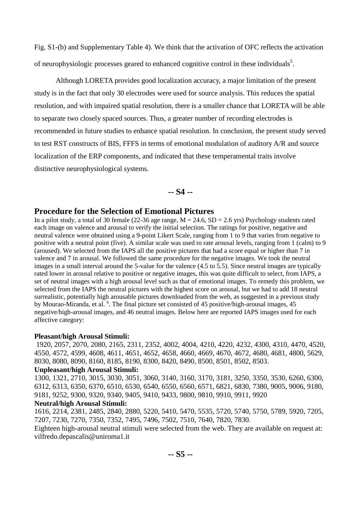Fig. S1-(b) and Supplementary Table 4). We think that the activation of OFC reflects the activation of neurophy[s](#page-7-0)iologic processes geared to enhanced cognitive control in these individuals<sup>5</sup>.

Although LORETA provides good localization accuracy, a major limitation of the present study is in the fact that only 30 electrodes were used for source analysis. This reduces the spatial resolution, and with impaired spatial resolution, there is a smaller chance that LORETA will be able to separate two closely spaced sources. Thus, a greater number of recording electrodes is recommended in future studies to enhance spatial resolution. In conclusion, the present study served to test RST constructs of BIS, FFFS in terms of emotional modulation of auditory A/R and source localization of the ERP components, and indicated that these temperamental traits involve distinctive neurophysiological systems.

#### **-- S4 --**

#### **Procedure for the Selection of Emotional Pictures**

In a pilot study, a total of 30 female (22-36 age range,  $M = 24.6$ ,  $SD = 2.6$  yrs) Psychology students rated each image on valence and arousal to verify the initial selection. The ratings for positive, negative and neutral valence were obtained using a 9-point Likert Scale, ranging from 1 to 9 that varies from negative to positive with a neutral point (five). A similar scale was used to rate arousal levels, ranging from 1 (calm) to 9 (aroused). We selected from the IAPS all the positive pictures that had a score equal or higher than 7 in valence and 7 in arousal. We followed the same procedure for the negative images. We took the neutral images in a small interval around the 5-value for the valence (4.5 to 5.5). Since neutral images are typically rated lower in arousal relative to positive or negative images, this was quite difficult to select, from IAPS, a set of neutral images with a high arousal level such as that of emotional images. To remedy this problem, we selected from the IAPS the neutral pictures with the highest score on arousal, but we had to add 18 neutral surrealistic, potentially high arousable pictures downloaded from the web, as suggested in a previous study by [Mourao-Miranda, et al.](#page-7-1) <sup>6</sup>. The final picture set consisted of 45 positive/high-arousal images, 45 negative/high-arousal images, and 46 neutral images. Below here are reported IAPS images used for each affective category:

#### **Pleasant/high Arousal Stimuli:**

1920, 2057, 2070, 2080, 2165, 2311, 2352, 4002, 4004, 4210, 4220, 4232, 4300, 4310, 4470, 4520, 4550, 4572, 4599, 4608, 4611, 4651, 4652, 4658, 4660, 4669, 4670, 4672, 4680, 4681, 4800, 5629, 8030, 8080, 8090, 8160, 8185, 8190, 8300, 8420, 8490, 8500, 8501, 8502, 8503.

#### **Unpleasant/high Arousal Stimuli:**

1300, 1321, 2710, 3015, 3030, 3051, 3060, 3140, 3160, 3170, 3181, 3250, 3350, 3530, 6260, 6300, 6312, 6313, 6350, 6370, 6510, 6530, 6540, 6550, 6560, 6571, 6821, 6830, 7380, 9005, 9006, 9180, 9181, 9252, 9300, 9320, 9340, 9405, 9410, 9433, 9800, 9810, 9910, 9911, 9920

#### **Neutral/high Arousal Stimuli:**

1616, 2214, 2381, 2485, 2840, 2880, 5220, 5410, 5470, 5535, 5720, 5740, 5750, 5789, 5920, 7205, 7207, 7230, 7270, 7350, 7352, 7495, 7496, 7502, 7510, 7640, 7820, 7830.

Eighteen high-arousal neutral stimuli were selected from the web. They are available on request at: vilfredo.depascalis@uniroma1.it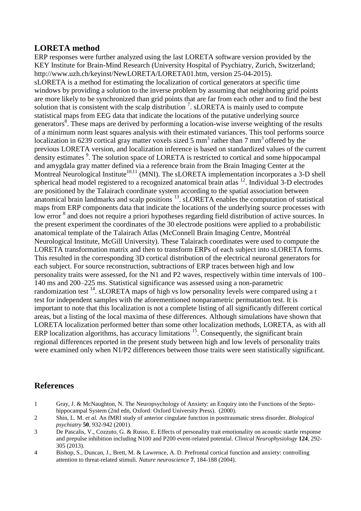#### **LORETA method**

ERP responses were further analyzed using the last LORETA software version provided by the KEY Institute for Brain-Mind Research (University Hospital of Psychiatry, Zurich, Switzerland; http://www.uzh.ch/keyinst/NewLORETA/LORETA01.htm, version 25-04-2015). sLORETA is a method for estimating the localization of cortical generators at specific time windows by providing a solution to the inverse problem by assuming that neighboring grid points are more likely to be synchronized than grid points that are far from each other and to find the best solution that is consistent with the scalp distribution<sup>7</sup>[.](#page-7-2) sLORETA is mainly used to compute statistical maps from EEG data that indicate the locations of the putative underlying source generator[s](#page-7-3)<sup>8</sup>. These maps are derived by performing a location-wise inverse weighting of the results of a minimum norm least squares analysis with their estimated variances. This tool performs source localization in 6239 cortical gray matter voxels sized 5 mm<sup>3</sup> rather than 7 mm<sup>3</sup> offered by the previous LORETA version, and localization inference is based on standardized values of the current density estimates<sup>[9](#page-7-4)</sup>. The solution space of LORETA is restricted to cortical and some hippocampal and amygdala gray matter defined via a reference brain from the Brain Imaging Center at the Montreal Neurological Institute<sup>[10,](#page-7-5)[11](#page-7-6)</sup> (MNI). The sLORETA implementation incorporates a 3-D shell spherical head model registered to a recognized anatomical brain atlas <sup>[12](#page-7-7)</sup>. Individual 3-D electrodes are positioned by the Talairach coordinate system according to the spatial association between anatomical brain landmarks and scalp positions  $^{13}$  $^{13}$  $^{13}$ . sLORETA enables the computation of statistical maps from ERP components data that indicate the locations of the underlying source processes with low error <sup>[8](#page-7-3)</sup> and does not require a priori hypotheses regarding field distribution of active sources. In the present experiment the coordinates of the 30 electrode positions were applied to a probabilistic anatomical template of the Talairach Atlas (McConnell Brain Imaging Centre, Montréal Neurological Institute, McGill University). These Talairach coordinates were used to compute the LORETA transformation matrix and then to transform ERPs of each subject into sLORETA forms. This resulted in the corresponding 3D cortical distribution of the electrical neuronal generators for each subject. For source reconstruction, subtractions of ERP traces between high and low personality traits were assessed, for the N1 and P2 waves, respectively within time intervals of 100– 140 ms and 200–225 ms. Statistical significance was assessed using a non-parametric randomization test  $^{14}$  $^{14}$  $^{14}$ . sLORETA maps of high vs low personality levels were compared using a t test for independent samples with the aforementioned nonparametric permutation test. It is important to note that this localization is not a complete listing of all significantly different cortical areas, but a listing of the local maxima of these differences. Although simulations have shown that LORETA localization performed better than some other localization methods, LORETA, as with all ERP localization algorithms, has accuracy limitations <sup>[15](#page-7-10)</sup>. Consequently, the significant brain regional differences reported in the present study between high and low levels of personality traits were examined only when N1/P2 differences between those traits were seen statistically significant.

### **References**

- <span id="page-6-0"></span>1 Gray, J. & McNaughton, N. The Neuropsychology of Anxiety: an Enquiry into the Functions of the Septohippocampal System (2nd edn, Oxford: Oxford University Press). (2000).
- <span id="page-6-1"></span>2 Shin, L. M. *et al.* An fMRI study of anterior cingulate function in posttraumatic stress disorder. *Biological psychiatry* **50**, 932-942 (2001).
- <span id="page-6-2"></span>3 De Pascalis, V., Cozzuto, G. & Russo, E. Effects of personality trait emotionality on acoustic startle response and prepulse inhibition including N100 and P200 event-related potential. *Clinical Neurophysiology* **124**, 292- 305 (2013).
- <span id="page-6-3"></span>4 Bishop, S., Duncan, J., Brett, M. & Lawrence, A. D. Prefrontal cortical function and anxiety: controlling attention to threat-related stimuli. *Nature neuroscience* **7**, 184-188 (2004).